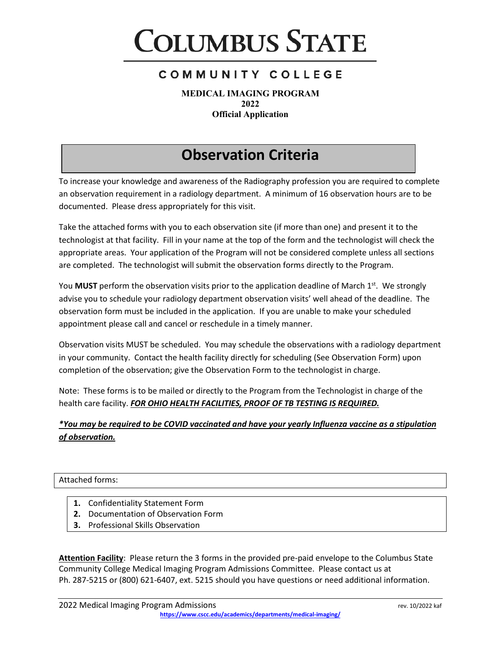

**MEDICAL IMAGING PROGRAM 2022 Official Application**

## **Observation Criteria**

To increase your knowledge and awareness of the Radiography profession you are required to complete an observation requirement in a radiology department. A minimum of 16 observation hours are to be documented. Please dress appropriately for this visit.

Take the attached forms with you to each observation site (if more than one) and present it to the technologist at that facility. Fill in your name at the top of the form and the technologist will check the appropriate areas. Your application of the Program will not be considered complete unless all sections are completed. The technologist will submit the observation forms directly to the Program.

You **MUST** perform the observation visits prior to the application deadline of March 1<sup>st</sup>. We strongly advise you to schedule your radiology department observation visits' well ahead of the deadline. The observation form must be included in the application. If you are unable to make your scheduled appointment please call and cancel or reschedule in a timely manner.

Observation visits MUST be scheduled. You may schedule the observations with a radiology department in your community. Contact the health facility directly for scheduling (See Observation Form) upon completion of the observation; give the Observation Form to the technologist in charge.

Note: These forms is to be mailed or directly to the Program from the Technologist in charge of the health care facility. *FOR OHIO HEALTH FACILITIES, PROOF OF TB TESTING IS REQUIRED.*

#### *\*You may be required to be COVID vaccinated and have your yearly Influenza vaccine as a stipulation of observation.*

#### Attached forms:

- **1.** Confidentiality Statement Form
- **2.** Documentation of Observation Form
- **3.** Professional Skills Observation

**Attention Facility**: Please return the 3 forms in the provided pre-paid envelope to the Columbus State Community College Medical Imaging Program Admissions Committee. Please contact us at Ph. 287-5215 or (800) 621-6407, ext. 5215 should you have questions or need additional information.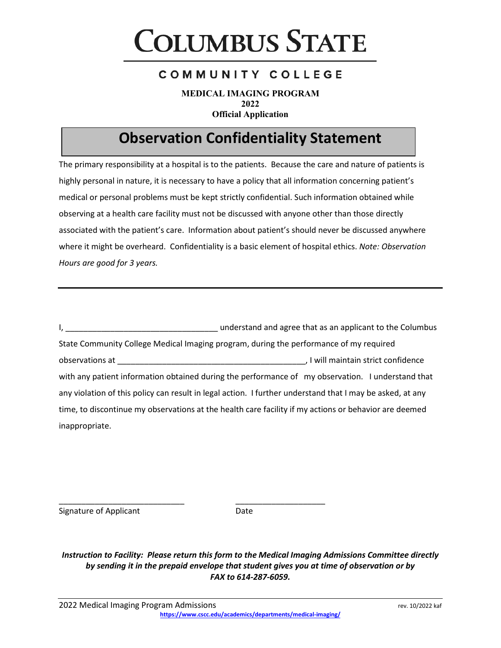# **COLUMBUS STATE**

#### COMMUNITY COLLEGE

**MEDICAL IMAGING PROGRAM 2022 Official Application**

## **Observation Confidentiality Statement**

The primary responsibility at a hospital is to the patients. Because the care and nature of patients is highly personal in nature, it is necessary to have a policy that all information concerning patient's medical or personal problems must be kept strictly confidential. Such information obtained while observing at a health care facility must not be discussed with anyone other than those directly associated with the patient's care. Information about patient's should never be discussed anywhere where it might be overheard. Confidentiality is a basic element of hospital ethics. *Note: Observation Hours are good for 3 years.*

I, Lettin 2011 and agree that as an applicant to the Columbus State Community College Medical Imaging program, during the performance of my required observations at \_\_\_\_\_\_\_\_\_\_\_\_\_\_\_\_\_\_\_\_\_\_\_\_\_\_\_\_\_\_\_\_\_\_\_\_\_\_\_\_\_\_, I will maintain strict confidence with any patient information obtained during the performance of my observation. I understand that any violation of this policy can result in legal action. I further understand that I may be asked, at any time, to discontinue my observations at the health care facility if my actions or behavior are deemed inappropriate.

Signature of Applicant **Date** 

*Instruction to Facility: Please return this form to the Medical Imaging Admissions Committee directly by sending it in the prepaid envelope that student gives you at time of observation or by FAX to 614-287-6059.* 

\_\_\_\_\_\_\_\_\_\_\_\_\_\_\_\_\_\_\_\_\_\_\_\_\_\_\_\_ \_\_\_\_\_\_\_\_\_\_\_\_\_\_\_\_\_\_\_\_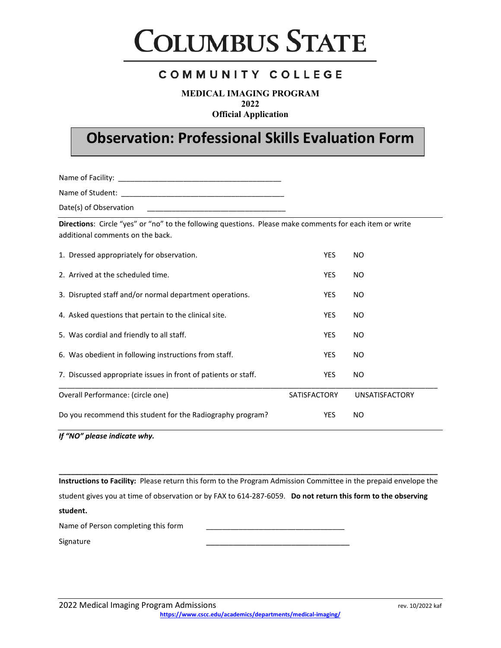

**MEDICAL IMAGING PROGRAM 2022**

**Official Application**

# **Observation: Professional Skills Evaluation Form**

Name of Facility: \_\_\_\_\_\_\_\_\_\_\_\_\_\_\_\_\_\_\_\_\_\_\_\_\_\_\_\_\_\_\_\_\_\_\_\_\_\_\_\_

Name of Student: \_\_\_\_\_\_\_\_\_\_\_\_\_\_\_\_\_\_\_\_\_\_\_\_\_\_\_\_\_\_\_\_\_\_\_\_\_\_\_\_

Date(s) of Observation

**Directions**: Circle "yes" or "no" to the following questions. Please make comments for each item or write additional comments on the back.

| 1. Dressed appropriately for observation.                      | <b>YES</b>          | NO.                   |
|----------------------------------------------------------------|---------------------|-----------------------|
| 2. Arrived at the scheduled time.                              | <b>YES</b>          | NO.                   |
| 3. Disrupted staff and/or normal department operations.        | <b>YES</b>          | NO.                   |
| 4. Asked questions that pertain to the clinical site.          | <b>YES</b>          | NO.                   |
| 5. Was cordial and friendly to all staff.                      | <b>YES</b>          | NO.                   |
| 6. Was obedient in following instructions from staff.          | <b>YES</b>          | NO.                   |
| 7. Discussed appropriate issues in front of patients or staff. | <b>YES</b>          | NO.                   |
| Overall Performance: (circle one)                              | <b>SATISFACTORY</b> | <b>UNSATISFACTORY</b> |
| Do you recommend this student for the Radiography program?     | <b>YES</b>          | NO.                   |

*If "NO" please indicate why.*

**Instructions to Facility:** Please return this form to the Program Admission Committee in the prepaid envelope the student gives you at time of observation or by FAX to 614-287-6059. **Do not return this form to the observing student.**

**\_\_\_\_\_\_\_\_\_\_\_\_\_\_\_\_\_\_\_\_\_\_\_\_\_\_\_\_\_\_\_\_\_\_\_\_\_\_\_\_\_\_\_\_\_\_\_\_\_\_\_\_\_\_\_\_\_\_\_\_\_\_\_\_\_\_\_\_\_\_\_\_\_\_\_\_\_\_\_\_\_\_\_\_\_\_\_\_\_\_\_\_\_**

Name of Person completing this form

Signature \_\_\_\_\_\_\_\_\_\_\_\_\_\_\_\_\_\_\_\_\_\_\_\_\_\_\_\_\_\_\_\_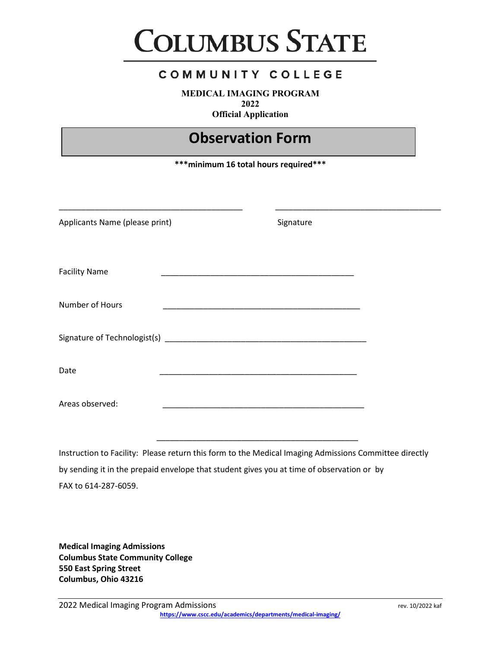

**MEDICAL IMAGING PROGRAM 2022**

**Official Application**

### **Observation Form**

**\*\*\*minimum 16 total hours required\*\*\***

| Applicants Name (please print) | Signature                                                                                             |
|--------------------------------|-------------------------------------------------------------------------------------------------------|
| <b>Facility Name</b>           |                                                                                                       |
| Number of Hours                | <u> 1989 - Andrea Stein, Amerikaansk politiker († 1908)</u>                                           |
|                                |                                                                                                       |
| Date                           | <u> 1989 - Johann John Stone, mars eta biztanleria (h. 1989).</u>                                     |
| Areas observed:                |                                                                                                       |
|                                | Instruction to Facility: Please return this form to the Medical Imaging Admissions Committee directly |

by sending it in the prepaid envelope that student gives you at time of observation or by FAX to 614-287-6059.

**Medical Imaging Admissions Columbus State Community College 550 East Spring Street Columbus, Ohio 43216**